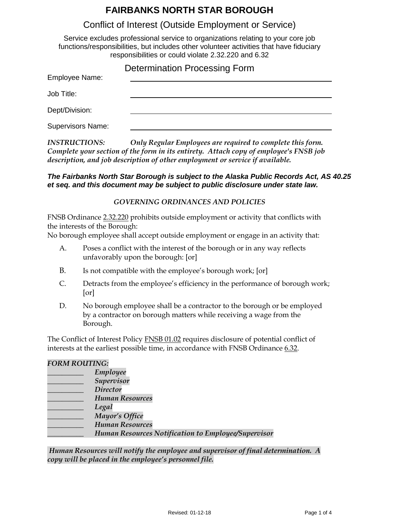## **FAIRBANKS NORTH STAR BOROUGH**

## Conflict of Interest (Outside Employment or Service)

Service excludes professional service to organizations relating to your core job functions/responsibilities, but includes other volunteer activities that have fiduciary responsibilities or could violate 2.32.220 and 6.32

|                          | <b>Determination Processing Form</b> |
|--------------------------|--------------------------------------|
| Employee Name:           |                                      |
| Job Title:               |                                      |
| Dept/Division:           |                                      |
| <b>Supervisors Name:</b> |                                      |

*INSTRUCTIONS: Only Regular Employees are required to complete this form. Complete your section of the form in its entirety. Attach copy of employee's FNSB job description, and job description of other employment or service if available.* 

#### *The Fairbanks North Star Borough is subject to the Alaska Public Records Act, AS 40.25 et seq. and this document may be subject to public disclosure under state law.*

#### *GOVERNING ORDINANCES AND POLICIES*

FNSB Ordinance 2.32.220 prohibits outside employment or activity that conflicts with the interests of the Borough:

No borough employee shall accept outside employment or engage in an activity that:

- A. Poses a conflict with the interest of the borough or in any way reflects unfavorably upon the borough: [or]
- B. Is not compatible with the employee's borough work; [or]
- C. Detracts from the employee's efficiency in the performance of borough work; [or]
- D. No borough employee shall be a contractor to the borough or be employed by a contractor on borough matters while receiving a wage from the Borough.

The Conflict of Interest Policy FNSB 01.02 requires disclosure of potential conflict of interests at the earliest possible time, in accordance with FNSB Ordinance 6.32.

#### *FORM ROUTING:*

| Employee                                                   |
|------------------------------------------------------------|
| Supervisor                                                 |
| <b>Director</b>                                            |
| <b>Human Resources</b>                                     |
| Legal                                                      |
| Mayor's Office                                             |
| <b>Human Resources</b>                                     |
| <b>Human Resources Notification to Employee/Supervisor</b> |
|                                                            |

*Human Resources will notify the employee and supervisor of final determination. A copy will be placed in the employee's personnel file.*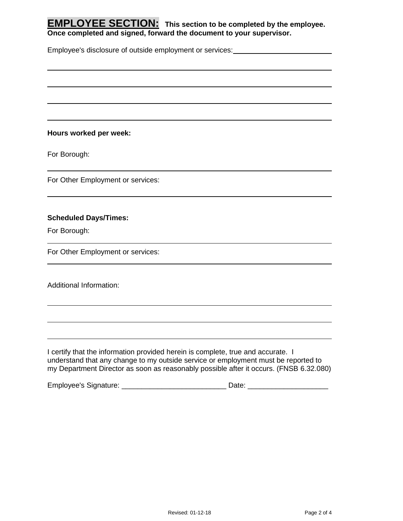**EMPLOYEE SECTION: This section to be completed by the employee. Once completed and signed, forward the document to your supervisor.**

Employee's disclosure of outside employment or services:<br>
<u>Employee's disclosure of outside employment or services:</u>

**Hours worked per week:** 

For Borough:

For Other Employment or services:

#### **Scheduled Days/Times:**

For Borough:

For Other Employment or services:

Additional Information:

I certify that the information provided herein is complete, true and accurate. I understand that any change to my outside service or employment must be reported to my Department Director as soon as reasonably possible after it occurs. (FNSB 6.32.080)

Employee's Signature: \_\_\_\_\_\_\_\_\_\_\_\_\_\_\_\_\_\_\_\_\_\_\_\_\_\_\_\_\_\_\_\_\_\_\_ Date: \_\_\_\_\_\_\_\_\_\_\_\_\_\_\_\_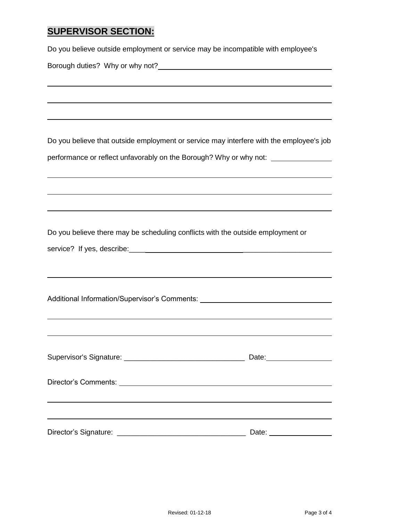## **SUPERVISOR SECTION:**

Do you believe outside employment or service may be incompatible with employee's

Borough duties? Why or why not?

Do you believe that outside employment or service may interfere with the employee's job performance or reflect unfavorably on the Borough? Why or why not:

Do you believe there may be scheduling conflicts with the outside employment or

|  |  | service? If yes, describe: |  |  |
|--|--|----------------------------|--|--|
|--|--|----------------------------|--|--|

| Additional Information/Supervisor's Comments: |  |
|-----------------------------------------------|--|
|                                               |  |

|                                                                                                                | Date: 2000 |
|----------------------------------------------------------------------------------------------------------------|------------|
| Director's Comments: Note and the set of the set of the set of the set of the set of the set of the set of the |            |
|                                                                                                                |            |
|                                                                                                                |            |
|                                                                                                                | Date:      |